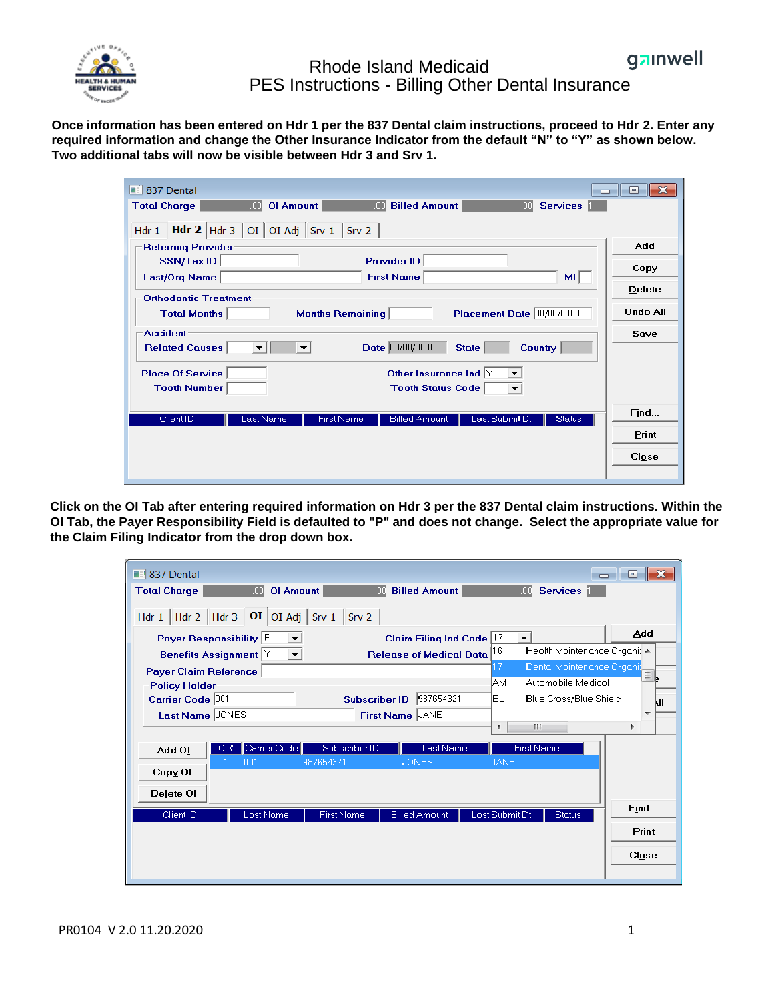

## gainwell Rhode Island Medicaid PES Instructions - Billing Other Dental Insurance

**Once information has been entered on Hdr 1 per the 837 Dental claim instructions, proceed to Hdr 2. Enter any required information and change the Other Insurance Indicator from the default "N" to "Y" as shown below. Two additional tabs will now be visible between Hdr 3 and Srv 1.**

| <b>Bill 837 Dental</b><br>$\Box$                                                                                                  | $\mathbf{x}$<br>同 |
|-----------------------------------------------------------------------------------------------------------------------------------|-------------------|
| .00 <sub>1</sub><br><b>OI Amount</b><br>.00<br><b>Billed Amount</b><br><b>Services</b><br><b>Total Charge</b><br>.00 <sub>1</sub> |                   |
| Hdr 1 Hdr 2 Hdr 3   OI   OI Adj   Srv 1   Srv 2                                                                                   |                   |
| <b>Referring Provider</b>                                                                                                         | Add               |
| <b>Provider ID</b><br>SSN/Tax ID                                                                                                  | Copy              |
| <b>First Name</b><br>ML<br>Last/Org Name                                                                                          | Delete            |
| <b>Orthodontic Treatment</b>                                                                                                      |                   |
| Placement Date 00/00/0000<br><b>Months Remaining</b><br><b>Total Months</b>                                                       | <b>Undo All</b>   |
| <b>Accident</b>                                                                                                                   | Save              |
| Date 00/00/0000<br><b>Related Causes</b><br><b>Country</b><br><b>State</b><br>$\overline{\phantom{a}}$                            |                   |
| <b>Place Of Service</b><br>Other Insurance Ind $ Y $                                                                              |                   |
| <b>Tooth Number</b><br><b>Tooth Status Code</b><br>$\overline{\phantom{a}}$                                                       |                   |
| Last Submit Dt<br>Client ID<br>Last Name<br><b>First Name</b><br><b>Billed Amount</b><br><b>Status</b>                            | Find              |
|                                                                                                                                   | Print             |
|                                                                                                                                   | Close             |
|                                                                                                                                   |                   |

**Click on the OI Tab after entering required information on Hdr 3 per the 837 Dental claim instructions. Within the OI Tab, the Payer Responsibility Field is defaulted to "P" and does not change. Select the appropriate value for the Claim Filing Indicator from the drop down box.**

| $\blacksquare$ 837 Dental<br><b>Total Charge</b>                                     | <b>OI Amount</b><br>.ool                                         | .ool                                    | <b>Billed Amount</b>                                       | <b>Services</b><br>.00                                                                                     | $\mathbf{x}$<br>$\Box$<br>Ō           |
|--------------------------------------------------------------------------------------|------------------------------------------------------------------|-----------------------------------------|------------------------------------------------------------|------------------------------------------------------------------------------------------------------------|---------------------------------------|
|                                                                                      | Hdr 1   Hdr 2   Hdr 3   $\overline{OI}$   OI Adj   Srv 1   Srv 2 |                                         |                                                            |                                                                                                            |                                       |
| Payer Responsibility P<br>Benefits Assignment Y                                      | ▼∣                                                               |                                         | Claim Filing Ind Code 17<br><b>Release of Medical Data</b> | $\overline{\mathbf{v}}$<br>16<br>Health Maintenance Organi: ▲                                              | Add                                   |
| Payer Claim Reference<br><b>Policy Holder</b><br>Carrier Code 001<br>Last Name JONES |                                                                  | <b>Subscriber ID</b><br>First Name JANE | 987654321                                                  | Dental Maintenance Organi;<br>7<br>lАM<br>Automobile Medical<br>IBL.<br>Blue Cross/Blue Shield<br>HH.<br>∢ | ≣ ,<br>kΠ<br>$\overline{\phantom{a}}$ |
| O( # )<br>Add Ol                                                                     | Carrier Code<br>987654321<br>001                                 | Subscriber ID                           | Last Name<br><b>JONES</b>                                  | <b>First Name</b><br><b>JANE</b>                                                                           |                                       |
| Copy OI<br>Delete OI                                                                 |                                                                  |                                         |                                                            |                                                                                                            |                                       |
| Client ID                                                                            | Last Name                                                        | <b>First Name</b>                       | <b>Billed Amount</b>                                       | Last Submit Dt<br><b>Status</b>                                                                            | Find<br>Print<br>Close                |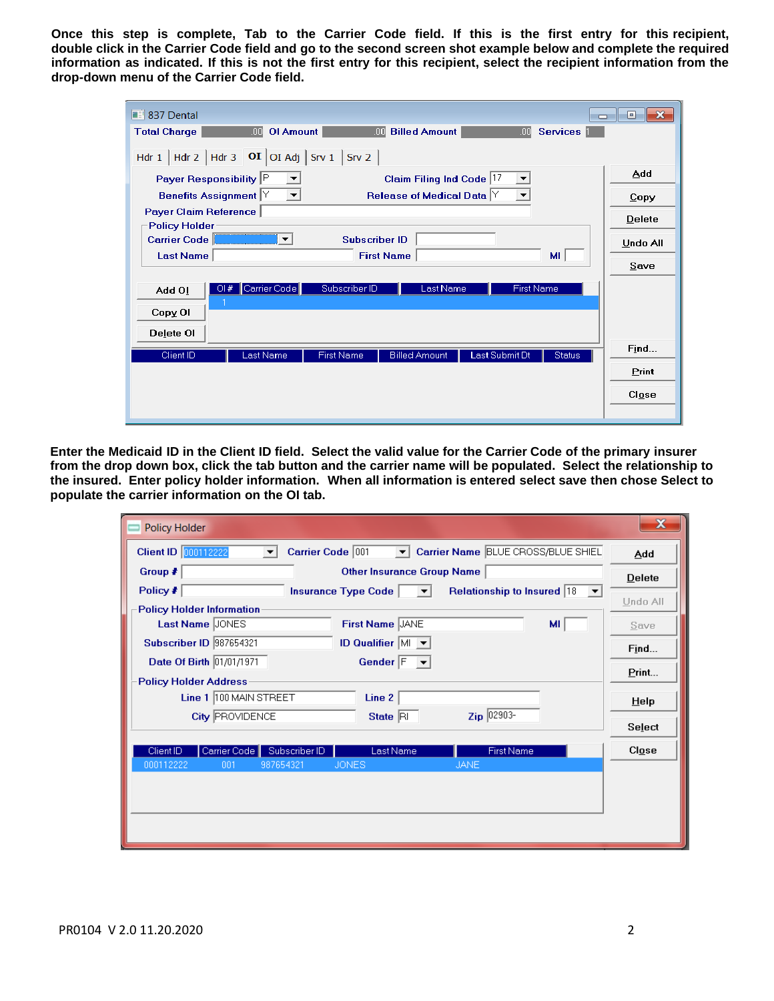Once this step is complete, Tab to the Carrier Code field. If this is the first entry for this recipient, double click in the Carrier Code field and go to the second screen shot example below and complete the required **information as indicated. If this is not the first entry for this recipient, select the recipient information from the drop-down menu of the Carrier Code field.**

| <b>Bill 837 Dental</b>                                                                                                       | ⊩×<br>o<br><b>- 1</b> |
|------------------------------------------------------------------------------------------------------------------------------|-----------------------|
| .00 <sub>1</sub><br><b>OI Amount</b><br>.00 <sub>1</sub><br><b>Billed Amount</b><br><b>Total Charge</b><br>Services  <br>.00 |                       |
| Hdr 1   Hdr 2   Hdr 3   $\overline{OI}$   OI Adj   Srv 1   Srv 2                                                             |                       |
| Payer Responsibility P<br>Claim Filing Ind Code 17<br>▼                                                                      | Add                   |
| Benefits Assignment Y<br>Release of Medical Data $\forall$<br>$ \mathbf{v} $<br>$\blacktriangledown$                         | Copy                  |
| <b>Payer Claim Reference</b><br><b>Policy Holder</b>                                                                         | Delete                |
| <b>Subscriber ID</b><br>Carrier Code<br>▼                                                                                    | Undo All              |
| <b>Last Name</b><br><b>First Name</b><br>мг                                                                                  | Save                  |
| Carrier Code<br>Subscriber ID<br><b>First Name</b><br>Last Name<br>O#<br>Add OI                                              |                       |
| Copy OI                                                                                                                      |                       |
| Delete OI                                                                                                                    |                       |
| Client ID<br><b>Billed Amount</b><br>Last Submit Dt<br>Last Name<br><b>First Name</b><br><b>Status</b>                       | Find                  |
|                                                                                                                              | Print                 |
|                                                                                                                              | C <i>lose</i>         |
|                                                                                                                              |                       |

**Enter the Medicaid ID in the Client ID field. Select the valid value for the Carrier Code of the primary insurer from the drop down box, click the tab button and the carrier name will be populated. Select the relationship to the insured. Enter policy holder information. When all information is entered select save then chose Select to populate the carrier information on the OI tab.**

| <b>Policy Holder</b>                                                                                                                     |               |
|------------------------------------------------------------------------------------------------------------------------------------------|---------------|
| <b>Client ID</b> 000112222<br>Carrier Name BLUE CROSS/BLUE SHIEL<br>Carrier Code 001<br>$\vert \mathbf{v} \vert$<br>$\blacktriangledown$ | Add           |
| Group $\neq$<br>Other Insurance Group Name                                                                                               | Delete        |
| Policy #<br>Relationship to Insured  18 ▼<br>Insurance Type Code<br>$\mathbf{v}$                                                         | Undo All      |
| <b>Policy Holder Information</b>                                                                                                         |               |
| Last Name JONES<br>First Name JANE<br>MI.                                                                                                | Save          |
| <b>Subscriber ID 987654321</b><br>ID Qualifier M v                                                                                       | Find          |
| Date Of Birth 01/01/1971<br>Gender $F - \blacktriangledown$                                                                              | Print         |
| <b>Policy Holder Address</b>                                                                                                             |               |
| Line 1 100 MAIN STREET<br>Line 2                                                                                                         | Help          |
| Zip 02903-<br><b>City PROVIDENCE</b><br>State $ \overline{H} $                                                                           |               |
|                                                                                                                                          | Select        |
| Carrier Code<br>Subscriber ID<br><b>First Name</b><br>Client ID<br>Last Name                                                             | C <i>lose</i> |
| 000112222<br>987654321<br><b>JONES</b><br><b>JANE</b><br>001                                                                             |               |
|                                                                                                                                          |               |
|                                                                                                                                          |               |
|                                                                                                                                          |               |
|                                                                                                                                          |               |